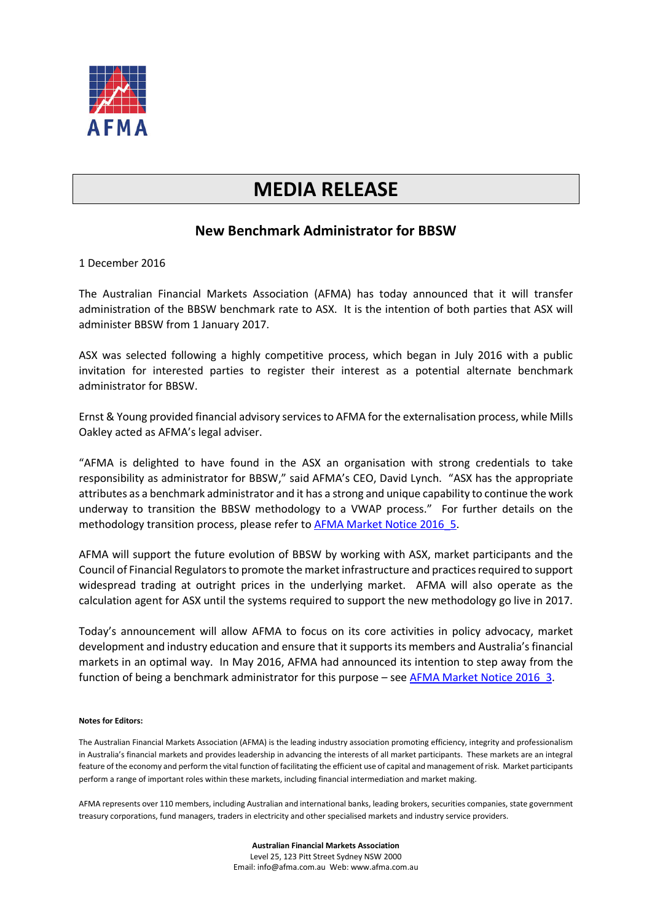

## **MEDIA RELEASE**

## **New Benchmark Administrator for BBSW**

1 December 2016

The Australian Financial Markets Association (AFMA) has today announced that it will transfer administration of the BBSW benchmark rate to ASX. It is the intention of both parties that ASX will administer BBSW from 1 January 2017.

ASX was selected following a highly competitive process, which began in July 2016 with a public invitation for interested parties to register their interest as a potential alternate benchmark administrator for BBSW.

Ernst & Young provided financial advisory services to AFMA for the externalisation process, while Mills Oakley acted as AFMA's legal adviser.

"AFMA is delighted to have found in the ASX an organisation with strong credentials to take responsibility as administrator for BBSW," said AFMA's CEO, David Lynch. "ASX has the appropriate attributes as a benchmark administrator and it has a strong and unique capability to continue the work underway to transition the BBSW methodology to a VWAP process." For further details on the methodology transition process, please refer to **AFMA Market Notice 2016 5.** 

AFMA will support the future evolution of BBSW by working with ASX, market participants and the Council of Financial Regulators to promote the market infrastructure and practices required to support widespread trading at outright prices in the underlying market. AFMA will also operate as the calculation agent for ASX until the systems required to support the new methodology go live in 2017.

Today's announcement will allow AFMA to focus on its core activities in policy advocacy, market development and industry education and ensure that it supports its members and Australia's financial markets in an optimal way. In May 2016, AFMA had announced its intention to step away from the function of being a benchmark administrator for this purpose – see [AFMA Market Notice 2016\\_3.](http://www.afma.com.au/media/Market_Notice_2016_3_Benchmark_Focus.pdf)

## **Notes for Editors:**

The Australian Financial Markets Association (AFMA) is the leading industry association promoting efficiency, integrity and professionalism in Australia's financial markets and provides leadership in advancing the interests of all market participants. These markets are an integral feature of the economy and perform the vital function of facilitating the efficient use of capital and management of risk. Market participants perform a range of important roles within these markets, including financial intermediation and market making.

AFMA represents over 110 members, including Australian and international banks, leading brokers, securities companies, state government treasury corporations, fund managers, traders in electricity and other specialised markets and industry service providers.

> **Australian Financial Markets Association** Level 25, 123 Pitt Street Sydney NSW 2000 Email: info@afma.com.au Web: www.afma.com.au